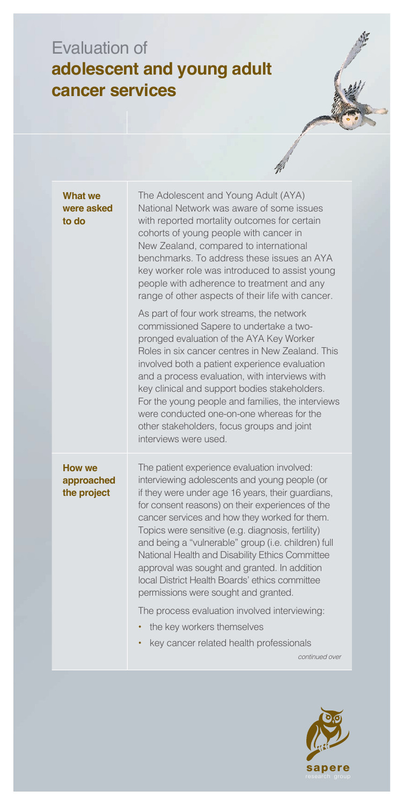## Evaluation of **adolescent and young adult cancer services**

|                                            | W.                                                                                                                                                                                                                                                                                                                                                                                                                                                                                                                                                                                                                                             |
|--------------------------------------------|------------------------------------------------------------------------------------------------------------------------------------------------------------------------------------------------------------------------------------------------------------------------------------------------------------------------------------------------------------------------------------------------------------------------------------------------------------------------------------------------------------------------------------------------------------------------------------------------------------------------------------------------|
| What we<br>were asked<br>to do             | The Adolescent and Young Adult (AYA)<br>National Network was aware of some issues<br>with reported mortality outcomes for certain<br>cohorts of young people with cancer in<br>New Zealand, compared to international<br>benchmarks. To address these issues an AYA<br>key worker role was introduced to assist young<br>people with adherence to treatment and any<br>range of other aspects of their life with cancer.                                                                                                                                                                                                                       |
|                                            | As part of four work streams, the network<br>commissioned Sapere to undertake a two-<br>pronged evaluation of the AYA Key Worker<br>Roles in six cancer centres in New Zealand. This<br>involved both a patient experience evaluation<br>and a process evaluation, with interviews with<br>key clinical and support bodies stakeholders.<br>For the young people and families, the interviews<br>were conducted one-on-one whereas for the<br>other stakeholders, focus groups and joint<br>interviews were used.                                                                                                                              |
| <b>How we</b><br>approached<br>the project | The patient experience evaluation involved:<br>interviewing adolescents and young people (or<br>if they were under age 16 years, their guardians,<br>for consent reasons) on their experiences of the<br>cancer services and how they worked for them.<br>Topics were sensitive (e.g. diagnosis, fertility)<br>and being a "vulnerable" group (i.e. children) full<br>National Health and Disability Ethics Committee<br>approval was sought and granted. In addition<br>local District Health Boards' ethics committee<br>permissions were sought and granted.<br>The process evaluation involved interviewing:<br>the key workers themselves |
|                                            | key cancer related health professionals<br>continued over                                                                                                                                                                                                                                                                                                                                                                                                                                                                                                                                                                                      |